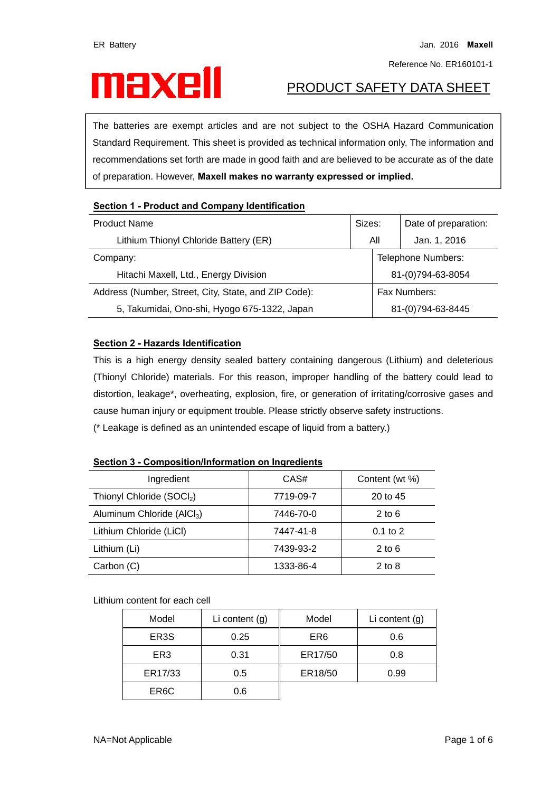# **PRODUCT SAFETY DATA SHEET**

The batteries are exempt articles and are not subject to the OSHA Hazard Communication Standard Requirement. This sheet is provided as technical information only. The information and recommendations set forth are made in good faith and are believed to be accurate as of the date of preparation. However, **Maxell makes no warranty expressed or implied.**

## **Section 1 - Product and Company Identification**

| Sizes:<br><b>Product Name</b>                                        |                   |                   | Date of preparation: |  |
|----------------------------------------------------------------------|-------------------|-------------------|----------------------|--|
| Lithium Thionyl Chloride Battery (ER)                                | All               |                   | Jan. 1, 2016         |  |
| Telephone Numbers:<br>Company:                                       |                   |                   |                      |  |
| Hitachi Maxell, Ltd., Energy Division                                | 81-(0)794-63-8054 |                   |                      |  |
| Address (Number, Street, City, State, and ZIP Code):<br>Fax Numbers: |                   |                   |                      |  |
| 5, Takumidai, Ono-shi, Hyogo 675-1322, Japan                         |                   | 81-(0)794-63-8445 |                      |  |

## **Section 2 - Hazards Identification**

This is a high energy density sealed battery containing dangerous (Lithium) and deleterious (Thionyl Chloride) materials. For this reason, improper handling of the battery could lead to distortion, leakage\*, overheating, explosion, fire, or generation of irritating/corrosive gases and cause human injury or equipment trouble. Please strictly observe safety instructions. (\* Leakage is defined as an unintended escape of liquid from a battery.)

## **Section 3 - Composition/Information on Ingredients**

| Ingredient                             | CAS#      | Content (wt %) |
|----------------------------------------|-----------|----------------|
| Thionyl Chloride (SOCl2)               | 7719-09-7 | 20 to 45       |
| Aluminum Chloride (AICl <sub>3</sub> ) | 7446-70-0 | $2$ to 6       |
| Lithium Chloride (LiCl)                | 7447-41-8 | $0.1$ to $2$   |
| Lithium (Li)                           | 7439-93-2 | $2$ to 6       |
| Carbon (C)                             | 1333-86-4 | $2$ to $8$     |

Lithium content for each cell

| Model           | Li content $(g)$ | Model           | Li content $(g)$ |
|-----------------|------------------|-----------------|------------------|
| ER3S            | 0.25             | ER <sub>6</sub> | 0.6              |
| ER <sub>3</sub> | 0.31             | ER17/50         | 0.8              |
| ER17/33         | 0.5              | ER18/50         | 0.99             |
| ER6C            | 0.6              |                 |                  |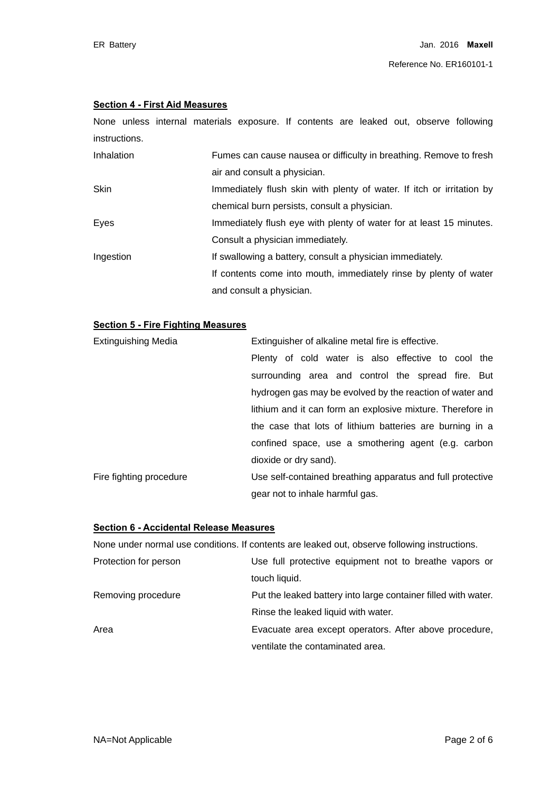## **Section 4 - First Aid Measures**

None unless internal materials exposure. If contents are leaked out, observe following instructions.

| Inhalation | Fumes can cause nausea or difficulty in breathing. Remove to fresh    |  |  |
|------------|-----------------------------------------------------------------------|--|--|
|            | air and consult a physician.                                          |  |  |
| Skin       | Immediately flush skin with plenty of water. If itch or irritation by |  |  |
|            | chemical burn persists, consult a physician.                          |  |  |
| Eyes       | Immediately flush eye with plenty of water for at least 15 minutes.   |  |  |
|            | Consult a physician immediately.                                      |  |  |
| Ingestion  | If swallowing a battery, consult a physician immediately.             |  |  |
|            | If contents come into mouth, immediately rinse by plenty of water     |  |  |
|            | and consult a physician.                                              |  |  |

## **Section 5 - Fire Fighting Measures**

| <b>Extinguishing Media</b> | Extinguisher of alkaline metal fire is effective.          |  |  |  |
|----------------------------|------------------------------------------------------------|--|--|--|
|                            | Plenty of cold water is also effective to cool the         |  |  |  |
|                            | surrounding area and control the spread fire. But          |  |  |  |
|                            | hydrogen gas may be evolved by the reaction of water and   |  |  |  |
|                            | lithium and it can form an explosive mixture. Therefore in |  |  |  |
|                            | the case that lots of lithium batteries are burning in a   |  |  |  |
|                            | confined space, use a smothering agent (e.g. carbon        |  |  |  |
|                            | dioxide or dry sand).                                      |  |  |  |
| Fire fighting procedure    | Use self-contained breathing apparatus and full protective |  |  |  |
|                            | gear not to inhale harmful gas.                            |  |  |  |

## **Section 6 - Accidental Release Measures**

None under normal use conditions. If contents are leaked out, observe following instructions.

| Protection for person | Use full protective equipment not to breathe vapors or         |
|-----------------------|----------------------------------------------------------------|
|                       | touch liquid.                                                  |
| Removing procedure    | Put the leaked battery into large container filled with water. |
|                       | Rinse the leaked liquid with water.                            |
| Area                  | Evacuate area except operators. After above procedure,         |
|                       | ventilate the contaminated area.                               |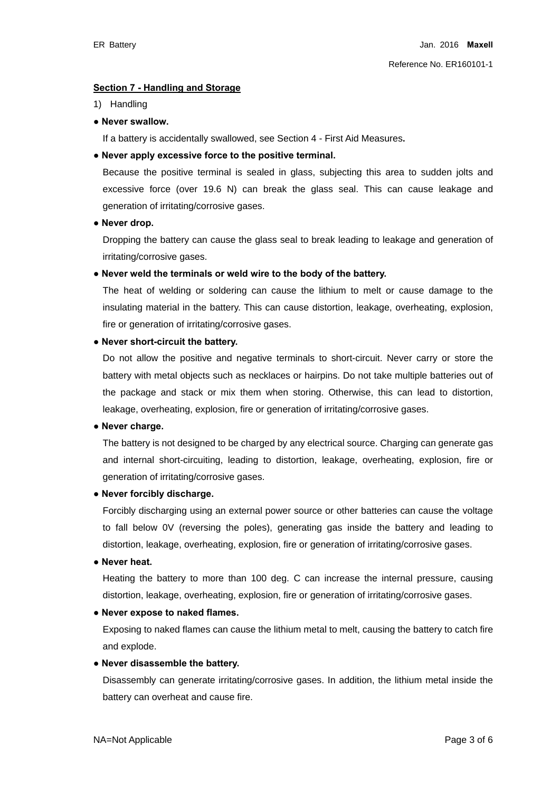## **Section 7 - Handling and Storage**

- 1) Handling
- **● Never swallow.**

If a battery is accidentally swallowed, see Section 4 - First Aid Measures**.** 

## **● Never apply excessive force to the positive terminal.**

Because the positive terminal is sealed in glass, subjecting this area to sudden jolts and excessive force (over 19.6 N) can break the glass seal. This can cause leakage and generation of irritating/corrosive gases.

## **● Never drop.**

Dropping the battery can cause the glass seal to break leading to leakage and generation of irritating/corrosive gases.

## **● Never weld the terminals or weld wire to the body of the battery.**

The heat of welding or soldering can cause the lithium to melt or cause damage to the insulating material in the battery. This can cause distortion, leakage, overheating, explosion, fire or generation of irritating/corrosive gases.

## **● Never short-circuit the battery.**

Do not allow the positive and negative terminals to short-circuit. Never carry or store the battery with metal objects such as necklaces or hairpins. Do not take multiple batteries out of the package and stack or mix them when storing. Otherwise, this can lead to distortion, leakage, overheating, explosion, fire or generation of irritating/corrosive gases.

## **● Never charge.**

The battery is not designed to be charged by any electrical source. Charging can generate gas and internal short-circuiting, leading to distortion, leakage, overheating, explosion, fire or generation of irritating/corrosive gases.

## **● Never forcibly discharge.**

Forcibly discharging using an external power source or other batteries can cause the voltage to fall below 0V (reversing the poles), generating gas inside the battery and leading to distortion, leakage, overheating, explosion, fire or generation of irritating/corrosive gases.

## **● Never heat.**

Heating the battery to more than 100 deg. C can increase the internal pressure, causing distortion, leakage, overheating, explosion, fire or generation of irritating/corrosive gases.

## **● Never expose to naked flames.**

Exposing to naked flames can cause the lithium metal to melt, causing the battery to catch fire and explode.

## **● Never disassemble the battery.**

Disassembly can generate irritating/corrosive gases. In addition, the lithium metal inside the battery can overheat and cause fire.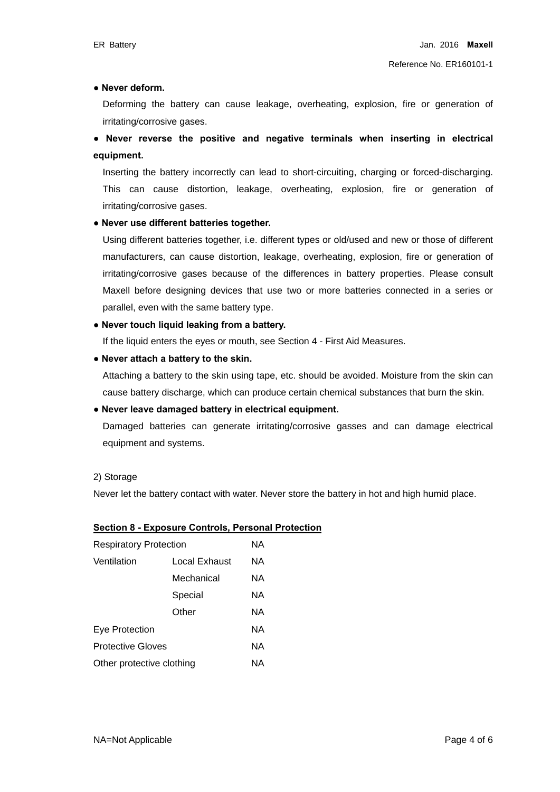## **● Never deform.**

Deforming the battery can cause leakage, overheating, explosion, fire or generation of irritating/corrosive gases.

## **● Never reverse the positive and negative terminals when inserting in electrical equipment.**

Inserting the battery incorrectly can lead to short-circuiting, charging or forced-discharging. This can cause distortion, leakage, overheating, explosion, fire or generation of irritating/corrosive gases.

## **● Never use different batteries together.**

Using different batteries together, i.e. different types or old/used and new or those of different manufacturers, can cause distortion, leakage, overheating, explosion, fire or generation of irritating/corrosive gases because of the differences in battery properties. Please consult Maxell before designing devices that use two or more batteries connected in a series or parallel, even with the same battery type.

## **● Never touch liquid leaking from a battery.**

If the liquid enters the eyes or mouth, see Section 4 - First Aid Measures.

## **● Never attach a battery to the skin.**

Attaching a battery to the skin using tape, etc. should be avoided. Moisture from the skin can cause battery discharge, which can produce certain chemical substances that burn the skin.

## **● Never leave damaged battery in electrical equipment.**

Damaged batteries can generate irritating/corrosive gasses and can damage electrical equipment and systems.

## 2) Storage

Never let the battery contact with water. Never store the battery in hot and high humid place.

| <b>Respiratory Protection</b> | ΝA            |    |
|-------------------------------|---------------|----|
| Ventilation                   | Local Exhaust | ΝA |
|                               | Mechanical    | ΝA |
|                               | Special       | ΝA |
|                               | Other         | ΝA |
| Eye Protection                |               | ΝA |
| <b>Protective Gloves</b>      |               | ΝA |
| Other protective clothing     |               | ΝA |

## **Section 8 - Exposure Controls, Personal Protection**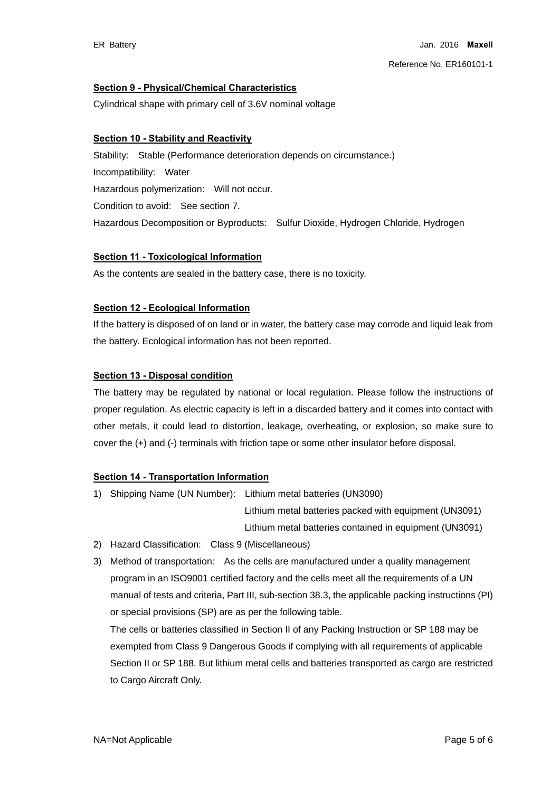## **Section 9 - Physical/Chemical Characteristics**

Cylindrical shape with primary cell of 3.6V nominal voltage

## **Section 10 - Stability and Reactivity**

Stability: Stable (Performance deterioration depends on circumstance.) Incompatibility: Water Hazardous polymerization: Will not occur. Condition to avoid: See section 7. Hazardous Decomposition or Byproducts: Sulfur Dioxide, Hydrogen Chloride, Hydrogen

## **Section 11 - Toxicological Information**

As the contents are sealed in the battery case, there is no toxicity.

## **Section 12 - Ecological Information**

If the battery is disposed of on land or in water, the battery case may corrode and liquid leak from the battery. Ecological information has not been reported.

## **Section 13 - Disposal condition**

The battery may be regulated by national or local regulation. Please follow the instructions of proper regulation. As electric capacity is left in a discarded battery and it comes into contact with other metals, it could lead to distortion, leakage, overheating, or explosion, so make sure to cover the (+) and (-) terminals with friction tape or some other insulator before disposal.

## **Section 14 - Transportation Information**

1) Shipping Name (UN Number): Lithium metal batteries (UN3090)

 Lithium metal batteries packed with equipment (UN3091) Lithium metal batteries contained in equipment (UN3091)

- 2) Hazard Classification: Class 9 (Miscellaneous)
- 3) Method of transportation: As the cells are manufactured under a quality management program in an ISO9001 certified factory and the cells meet all the requirements of a UN manual of tests and criteria, Part III, sub-section 38.3, the applicable packing instructions (PI) or special provisions (SP) are as per the following table.

The cells or batteries classified in Section II of any Packing Instruction or SP 188 may be exempted from Class 9 Dangerous Goods if complying with all requirements of applicable Section II or SP 188. But lithium metal cells and batteries transported as cargo are restricted to Cargo Aircraft Only.